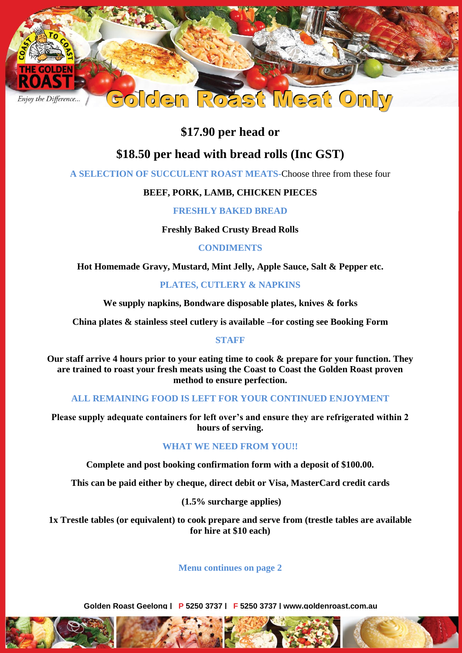

## **\$17.90 per head or**

# **\$18.50 per head with bread rolls (Inc GST)**

**A SELECTION OF SUCCULENT ROAST MEATS-**Choose three from these four

## **BEEF, PORK, LAMB, CHICKEN PIECES**

**FRESHLY BAKED BREAD**

**Freshly Baked Crusty Bread Rolls**

**CONDIMENTS**

**Hot Homemade Gravy, Mustard, Mint Jelly, Apple Sauce, Salt & Pepper etc.**

### **PLATES, CUTLERY & NAPKINS**

**We supply napkins, Bondware disposable plates, knives & forks**

**China plates & stainless steel cutlery is available –for costing see Booking Form**

#### **STAFF**

**Our staff arrive 4 hours prior to your eating time to cook & prepare for your function. They are trained to roast your fresh meats using the Coast to Coast the Golden Roast proven method to ensure perfection.**

#### **ALL REMAINING FOOD IS LEFT FOR YOUR CONTINUED ENJOYMENT**

**Please supply adequate containers for left over's and ensure they are refrigerated within 2 hours of serving.**

## **WHAT WE NEED FROM YOU!!**

**Complete and post booking confirmation form with a deposit of \$100.00.**

**This can be paid either by cheque, direct debit or Visa, MasterCard credit cards**

**(1.5% surcharge applies)**

**1x Trestle tables (or equivalent) to cook prepare and serve from (trestle tables are available for hire at \$10 each)**

## **Menu continues on page 2**

**Golden Roast Geelong | P 5250 3737 | F 5250 3737 | www.goldenroast.com.au**